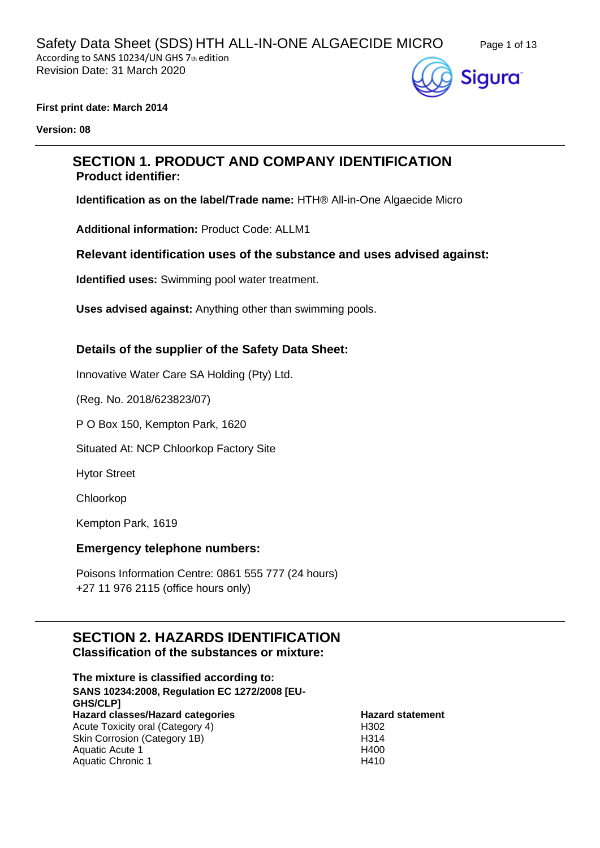

**First print date: March 2014**

**Version: 08**

# **SECTION 1. PRODUCT AND COMPANY IDENTIFICATION Product identifier:**

**Identification as on the label/Trade name:** HTH® All-in-One Algaecide Micro

**Additional information:** Product Code: ALLM1

**Relevant identification uses of the substance and uses advised against:**

**Identified uses:** Swimming pool water treatment.

**Uses advised against:** Anything other than swimming pools.

### **Details of the supplier of the Safety Data Sheet:**

Innovative Water Care SA Holding (Pty) Ltd.

(Reg. No. 2018/623823/07)

P O Box 150, Kempton Park, 1620

Situated At: NCP Chloorkop Factory Site

Hytor Street

Chloorkop

Kempton Park, 1619

#### **Emergency telephone numbers:**

Poisons Information Centre: 0861 555 777 (24 hours) +27 11 976 2115 (office hours only)

# **SECTION 2. HAZARDS IDENTIFICATION Classification of the substances or mixture:**

**The mixture is classified according to: SANS 10234:2008, Regulation EC 1272/2008 [EU-GHS/CLP] Hazard classes/Hazard categories Hazard statement** Acute Toxicity oral (Category 4) Skin Corrosion (Category 1B) H302 H314 Aquatic Acute 1 Aquatic Chronic 1 H400 H410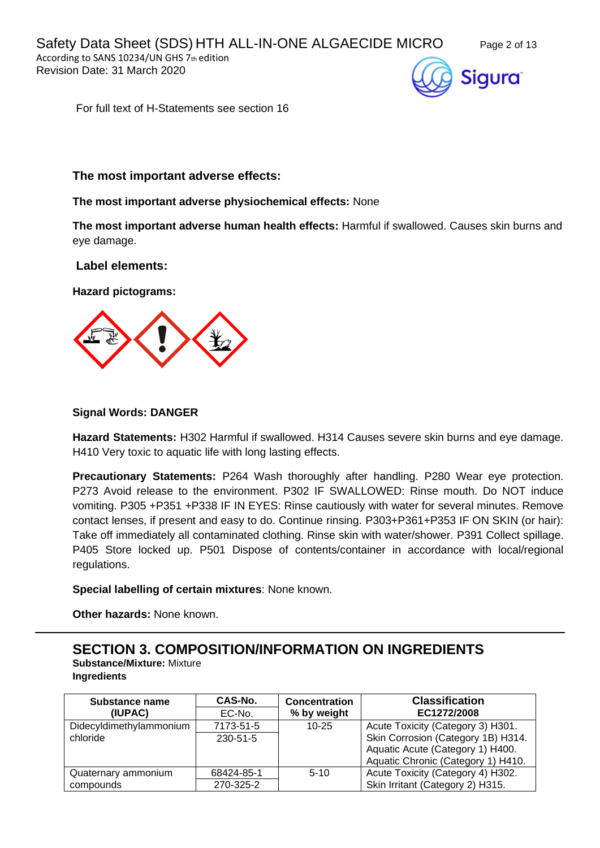

For full text of H-Statements see section 16

### **The most important adverse effects:**

#### **The most important adverse physiochemical effects:** None

**The most important adverse human health effects:** Harmful if swallowed. Causes skin burns and eye damage.

#### **Label elements:**

**Hazard pictograms:**



#### **Signal Words: DANGER**

**Hazard Statements:** H302 Harmful if swallowed. H314 Causes severe skin burns and eye damage. H410 Very toxic to aquatic life with long lasting effects.

**Precautionary Statements:** P264 Wash thoroughly after handling. P280 Wear eye protection. P273 Avoid release to the environment. P302 IF SWALLOWED: Rinse mouth. Do NOT induce vomiting. P305 +P351 +P338 IF IN EYES: Rinse cautiously with water for several minutes. Remove contact lenses, if present and easy to do. Continue rinsing. P303+P361+P353 IF ON SKIN (or hair): Take off immediately all contaminated clothing. Rinse skin with water/shower. P391 Collect spillage. P405 Store locked up. P501 Dispose of contents/container in accordance with local/regional regulations.

**Special labelling of certain mixtures**: None known.

**Other hazards:** None known.

# **SECTION 3. COMPOSITION/INFORMATION ON INGREDIENTS**

**Substance/Mixture:** Mixture **Ingredients**

| Substance name<br>(IUPAC) | CAS-No.<br>EC-No. | <b>Concentration</b><br>% by weight | <b>Classification</b><br>EC1272/2008 |
|---------------------------|-------------------|-------------------------------------|--------------------------------------|
| Didecyldimethylammonium   | 7173-51-5         | $10 - 25$                           | Acute Toxicity (Category 3) H301.    |
| chloride                  | $230 - 51 - 5$    |                                     | Skin Corrosion (Category 1B) H314.   |
|                           |                   |                                     | Aquatic Acute (Category 1) H400.     |
|                           |                   |                                     | Aquatic Chronic (Category 1) H410.   |
| Quaternary ammonium       | 68424-85-1        | $5 - 10$                            | Acute Toxicity (Category 4) H302.    |
| compounds                 | 270-325-2         |                                     | Skin Irritant (Category 2) H315.     |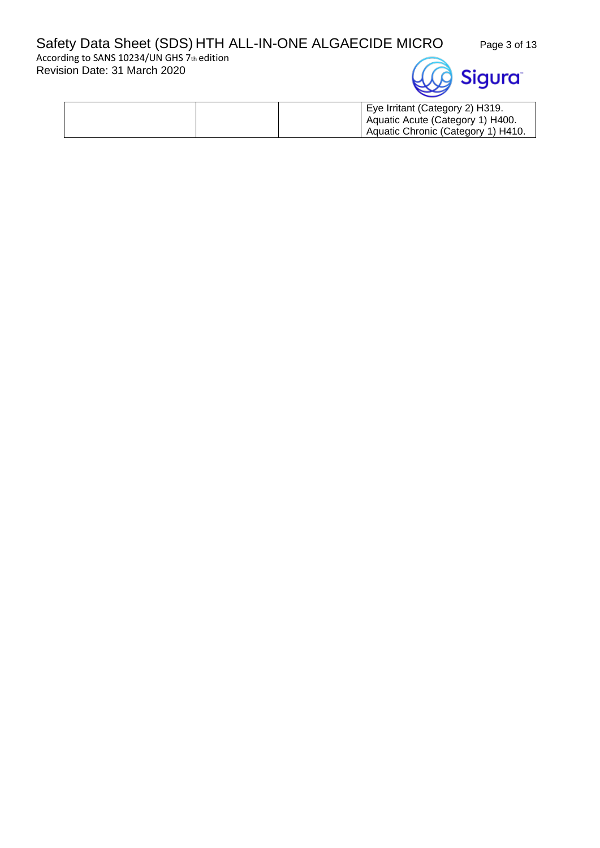# Safety Data Sheet (SDS) HTH ALL-IN-ONE ALGAECIDE MICRO Page 3 of 13

According to SANS 10234/UN GHS 7th edition Revision Date: 31 March 2020



| Eye Irritant (Category 2) H319.    |
|------------------------------------|
| Aquatic Acute (Category 1) H400.   |
| Aquatic Chronic (Category 1) H410. |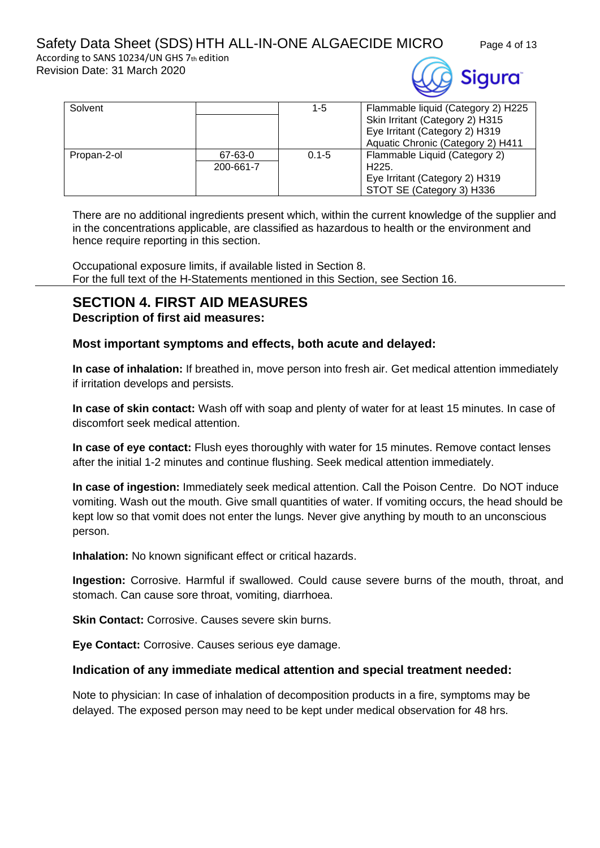# Safety Data Sheet (SDS) HTH ALL-IN-ONE ALGAECIDE MICRO Page 4 of 13

According to SANS 10234/UN GHS 7th edition Revision Date: 31 March 2020



| Solvent     |           | $1 - 5$   | Flammable liquid (Category 2) H225 |
|-------------|-----------|-----------|------------------------------------|
|             |           |           | Skin Irritant (Category 2) H315    |
|             |           |           | Eye Irritant (Category 2) H319     |
|             |           |           | Aquatic Chronic (Category 2) H411  |
| Propan-2-ol | 67-63-0   | $0.1 - 5$ | Flammable Liquid (Category 2)      |
|             | 200-661-7 |           | H <sub>225</sub> .                 |
|             |           |           | Eye Irritant (Category 2) H319     |
|             |           |           | STOT SE (Category 3) H336          |

There are no additional ingredients present which, within the current knowledge of the supplier and in the concentrations applicable, are classified as hazardous to health or the environment and hence require reporting in this section.

Occupational exposure limits, if available listed in Section 8. For the full text of the H-Statements mentioned in this Section, see Section 16.

# **SECTION 4. FIRST AID MEASURES**

**Description of first aid measures:**

## **Most important symptoms and effects, both acute and delayed:**

**In case of inhalation:** If breathed in, move person into fresh air. Get medical attention immediately if irritation develops and persists.

**In case of skin contact:** Wash off with soap and plenty of water for at least 15 minutes. In case of discomfort seek medical attention.

**In case of eye contact:** Flush eyes thoroughly with water for 15 minutes. Remove contact lenses after the initial 1-2 minutes and continue flushing. Seek medical attention immediately.

**In case of ingestion:** Immediately seek medical attention. Call the Poison Centre. Do NOT induce vomiting. Wash out the mouth. Give small quantities of water. If vomiting occurs, the head should be kept low so that vomit does not enter the lungs. Never give anything by mouth to an unconscious person.

**Inhalation:** No known significant effect or critical hazards.

**Ingestion:** Corrosive. Harmful if swallowed. Could cause severe burns of the mouth, throat, and stomach. Can cause sore throat, vomiting, diarrhoea.

**Skin Contact: Corrosive. Causes severe skin burns.** 

**Eye Contact:** Corrosive. Causes serious eye damage.

# **Indication of any immediate medical attention and special treatment needed:**

Note to physician: In case of inhalation of decomposition products in a fire, symptoms may be delayed. The exposed person may need to be kept under medical observation for 48 hrs.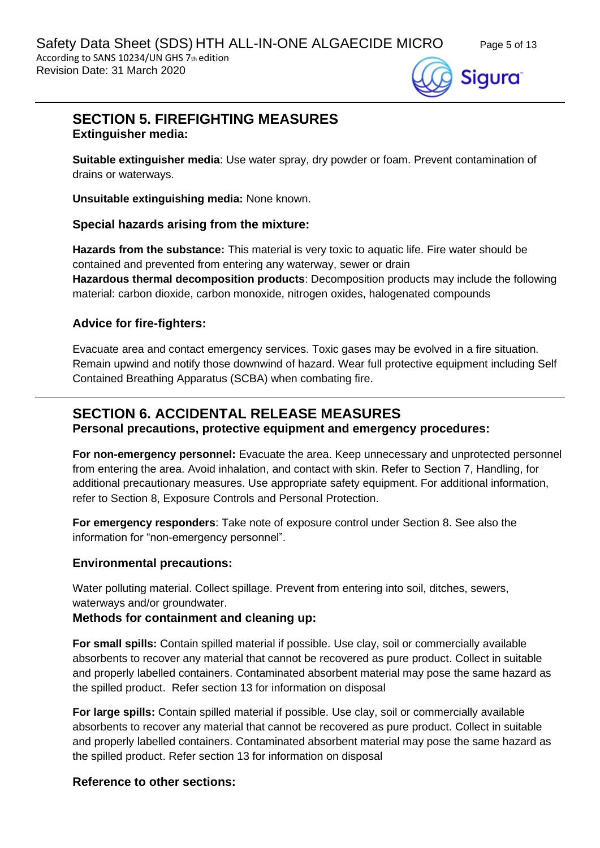

# **SECTION 5. FIREFIGHTING MEASURES Extinguisher media:**

**Suitable extinguisher media**: Use water spray, dry powder or foam. Prevent contamination of drains or waterways.

**Unsuitable extinguishing media:** None known.

### **Special hazards arising from the mixture:**

**Hazards from the substance:** This material is very toxic to aquatic life. Fire water should be contained and prevented from entering any waterway, sewer or drain **Hazardous thermal decomposition products**: Decomposition products may include the following material: carbon dioxide, carbon monoxide, nitrogen oxides, halogenated compounds

## **Advice for fire-fighters:**

Evacuate area and contact emergency services. Toxic gases may be evolved in a fire situation. Remain upwind and notify those downwind of hazard. Wear full protective equipment including Self Contained Breathing Apparatus (SCBA) when combating fire.

# **SECTION 6. ACCIDENTAL RELEASE MEASURES**

### **Personal precautions, protective equipment and emergency procedures:**

**For non-emergency personnel:** Evacuate the area. Keep unnecessary and unprotected personnel from entering the area. Avoid inhalation, and contact with skin. Refer to Section 7, Handling, for additional precautionary measures. Use appropriate safety equipment. For additional information, refer to Section 8, Exposure Controls and Personal Protection.

**For emergency responders**: Take note of exposure control under Section 8. See also the information for "non-emergency personnel".

### **Environmental precautions:**

Water polluting material. Collect spillage. Prevent from entering into soil, ditches, sewers, waterways and/or groundwater.

### **Methods for containment and cleaning up:**

**For small spills:** Contain spilled material if possible. Use clay, soil or commercially available absorbents to recover any material that cannot be recovered as pure product. Collect in suitable and properly labelled containers. Contaminated absorbent material may pose the same hazard as the spilled product. Refer section 13 for information on disposal

**For large spills:** Contain spilled material if possible. Use clay, soil or commercially available absorbents to recover any material that cannot be recovered as pure product. Collect in suitable and properly labelled containers. Contaminated absorbent material may pose the same hazard as the spilled product. Refer section 13 for information on disposal

# **Reference to other sections:**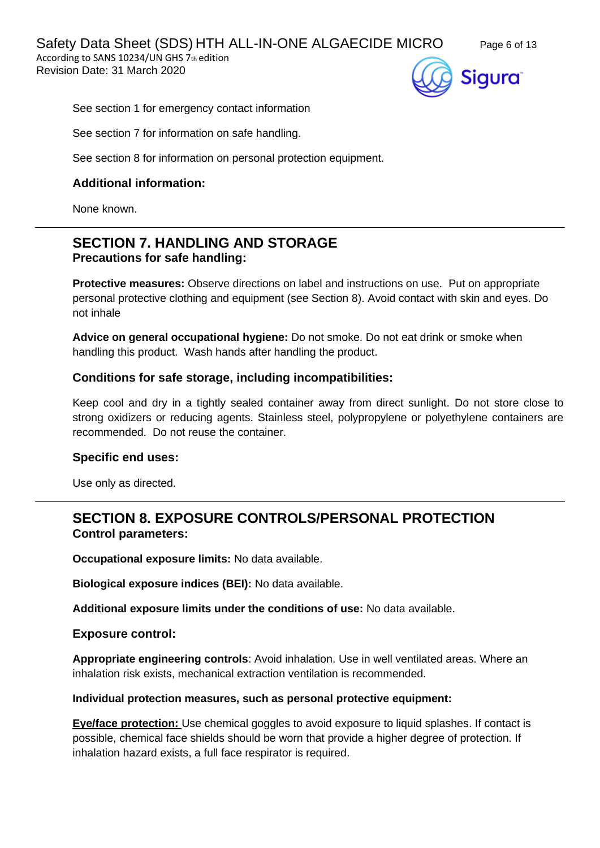Safety Data Sheet (SDS) HTH ALL-IN-ONE ALGAECIDE MICRO Page 6 of 13 According to SANS 10234/UN GHS 7th edition

Revision Date: 31 March 2020



See section 1 for emergency contact information

See section 7 for information on safe handling.

See section 8 for information on personal protection equipment.

# **Additional information:**

None known.

# **SECTION 7. HANDLING AND STORAGE Precautions for safe handling:**

**Protective measures:** Observe directions on label and instructions on use. Put on appropriate personal protective clothing and equipment (see Section 8). Avoid contact with skin and eyes. Do not inhale

**Advice on general occupational hygiene:** Do not smoke. Do not eat drink or smoke when handling this product. Wash hands after handling the product.

## **Conditions for safe storage, including incompatibilities:**

Keep cool and dry in a tightly sealed container away from direct sunlight. Do not store close to strong oxidizers or reducing agents. Stainless steel, polypropylene or polyethylene containers are recommended. Do not reuse the container.

### **Specific end uses:**

Use only as directed.

# **SECTION 8. EXPOSURE CONTROLS/PERSONAL PROTECTION Control parameters:**

**Occupational exposure limits:** No data available.

**Biological exposure indices (BEI):** No data available.

**Additional exposure limits under the conditions of use:** No data available.

### **Exposure control:**

**Appropriate engineering controls**: Avoid inhalation. Use in well ventilated areas. Where an inhalation risk exists, mechanical extraction ventilation is recommended.

#### **Individual protection measures, such as personal protective equipment:**

**Eye/face protection:** Use chemical goggles to avoid exposure to liquid splashes. If contact is possible, chemical face shields should be worn that provide a higher degree of protection. If inhalation hazard exists, a full face respirator is required.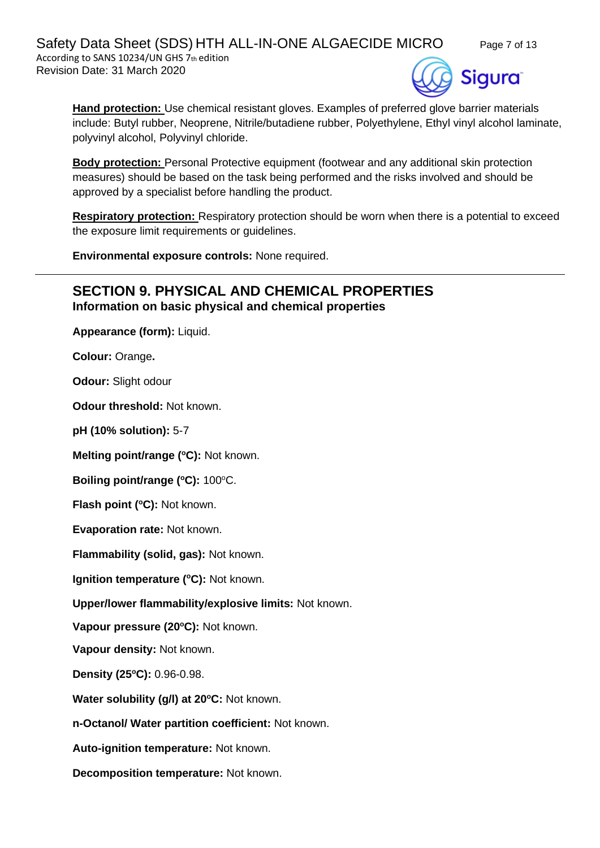Safety Data Sheet (SDS) HTH ALL-IN-ONE ALGAECIDE MICRO Page 7 of 13 According to SANS 10234/UN GHS 7th edition Revision Date: 31 March 2020

Sigura`

**Hand protection:** Use chemical resistant gloves. Examples of preferred glove barrier materials include: Butyl rubber, Neoprene, Nitrile/butadiene rubber, Polyethylene, Ethyl vinyl alcohol laminate, polyvinyl alcohol, Polyvinyl chloride.

**Body protection:** Personal Protective equipment (footwear and any additional skin protection measures) should be based on the task being performed and the risks involved and should be approved by a specialist before handling the product.

**Respiratory protection:** Respiratory protection should be worn when there is a potential to exceed the exposure limit requirements or guidelines.

**Environmental exposure controls:** None required.

## **SECTION 9. PHYSICAL AND CHEMICAL PROPERTIES Information on basic physical and chemical properties**

**Appearance (form):** Liquid.

**Colour:** Orange**.**

**Odour:** Slight odour

**Odour threshold:** Not known.

**pH (10% solution):** 5-7

**Melting point/range (<sup>o</sup>C):** Not known.

**Boiling point/range (°C): 100°C.** 

**Flash point (°C):** Not known.

**Evaporation rate:** Not known.

**Flammability (solid, gas):** Not known.

**Ignition temperature (°C):** Not known.

**Upper/lower flammability/explosive limits:** Not known.

**Vapour pressure (20<sup>o</sup>C):** Not known.

**Vapour density:** Not known.

**Density (25 <sup>o</sup>C):** 0.96-0.98.

**Water solubility (g/l) at 20<sup>o</sup>C:** Not known.

**n-Octanol/ Water partition coefficient:** Not known.

**Auto-ignition temperature:** Not known.

**Decomposition temperature:** Not known.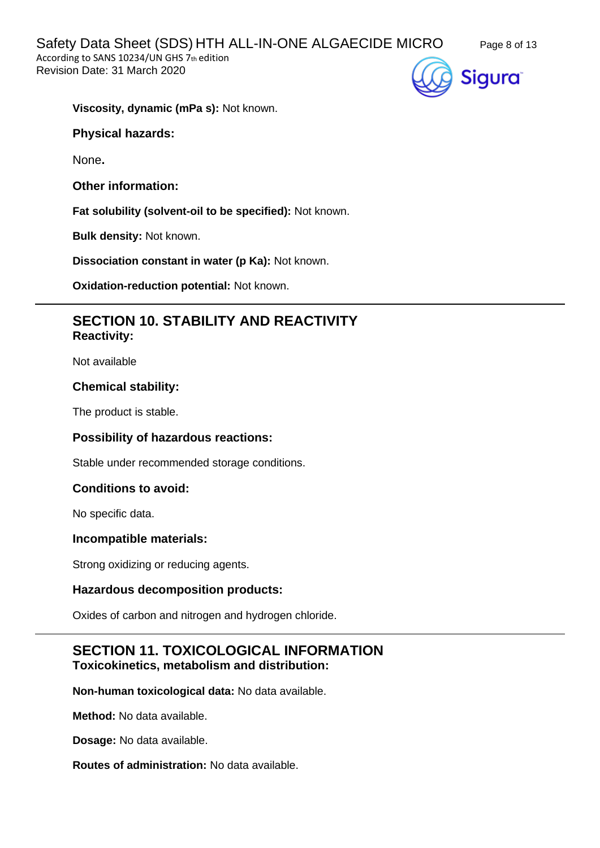

**Viscosity, dynamic (mPa s):** Not known.

**Physical hazards:**

None**.**

**Other information:**

**Fat solubility (solvent-oil to be specified):** Not known.

**Bulk density:** Not known.

**Dissociation constant in water (p Ka):** Not known.

**Oxidation-reduction potential:** Not known.

# **SECTION 10. STABILITY AND REACTIVITY Reactivity:**

Not available

### **Chemical stability:**

The product is stable.

### **Possibility of hazardous reactions:**

Stable under recommended storage conditions.

### **Conditions to avoid:**

No specific data.

#### **Incompatible materials:**

Strong oxidizing or reducing agents.

#### **Hazardous decomposition products:**

Oxides of carbon and nitrogen and hydrogen chloride.

# **SECTION 11. TOXICOLOGICAL INFORMATION Toxicokinetics, metabolism and distribution:**

**Non-human toxicological data:** No data available.

**Method:** No data available.

**Dosage:** No data available.

**Routes of administration:** No data available.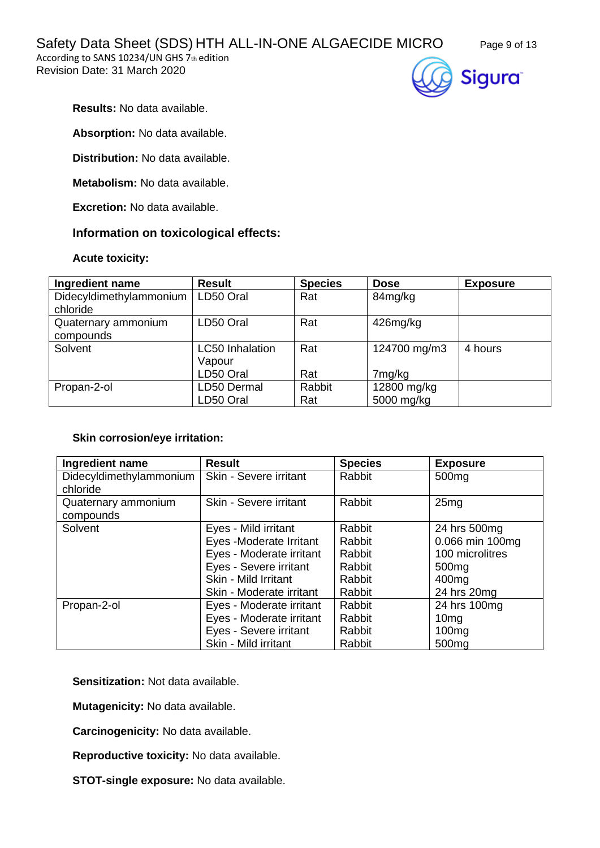According to SANS 10234/UN GHS 7th edition Revision Date: 31 March 2020





**Results:** No data available.

**Absorption:** No data available.

**Distribution:** No data available.

**Metabolism:** No data available.

**Excretion:** No data available.

### **Information on toxicological effects:**

#### **Acute toxicity:**

| Ingredient name                     | <b>Result</b>                    | <b>Species</b> | <b>Dose</b>        | <b>Exposure</b> |
|-------------------------------------|----------------------------------|----------------|--------------------|-----------------|
| Didecyldimethylammonium<br>chloride | LD50 Oral                        | Rat            | 84mg/kg            |                 |
| Quaternary ammonium<br>compounds    | LD50 Oral                        | Rat            | 426mg/kg           |                 |
| Solvent                             | <b>LC50</b> Inhalation<br>Vapour | Rat            | 124700 mg/m3       | 4 hours         |
|                                     | LD50 Oral                        | Rat            | 7 <sub>mg/kg</sub> |                 |
| Propan-2-ol                         | LD50 Dermal                      | Rabbit         | 12800 mg/kg        |                 |
|                                     | LD50 Oral                        | Rat            | 5000 mg/kg         |                 |

#### **Skin corrosion/eye irritation:**

| Ingredient name         | <b>Result</b>            | <b>Species</b> | <b>Exposure</b>   |
|-------------------------|--------------------------|----------------|-------------------|
| Didecyldimethylammonium | Skin - Severe irritant   | Rabbit         | 500 <sub>mg</sub> |
| chloride                |                          |                |                   |
| Quaternary ammonium     | Skin - Severe irritant   | Rabbit         | 25mg              |
| compounds               |                          |                |                   |
| Solvent                 | Eyes - Mild irritant     | Rabbit         | 24 hrs 500mg      |
|                         | Eyes -Moderate Irritant  | Rabbit         | 0.066 min 100mg   |
|                         | Eyes - Moderate irritant | Rabbit         | 100 microlitres   |
|                         | Eyes - Severe irritant   | Rabbit         | 500 <sub>mg</sub> |
|                         | Skin - Mild Irritant     | Rabbit         | 400 <sub>mg</sub> |
|                         | Skin - Moderate irritant | Rabbit         | 24 hrs 20mg       |
| Propan-2-ol             | Eyes - Moderate irritant | Rabbit         | 24 hrs 100mg      |
|                         | Eyes - Moderate irritant | Rabbit         | 10 <sub>mg</sub>  |
|                         | Eyes - Severe irritant   | Rabbit         | 100 <sub>mg</sub> |
|                         | Skin - Mild irritant     | Rabbit         | 500 <sub>mg</sub> |

**Sensitization:** Not data available.

**Mutagenicity:** No data available.

**Carcinogenicity:** No data available.

**Reproductive toxicity:** No data available.

**STOT-single exposure:** No data available.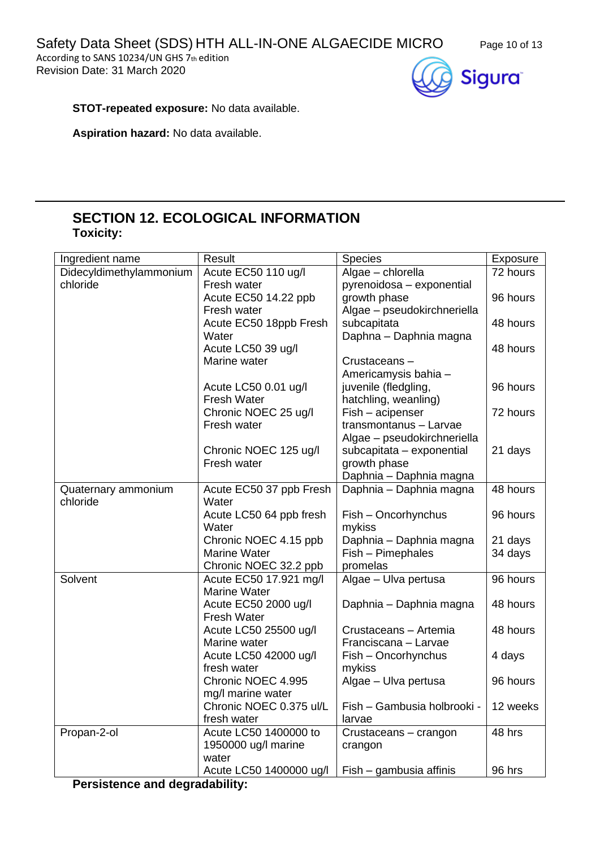Safety Data Sheet (SDS) HTH ALL-IN-ONE ALGAECIDE MICRO Page 10 of 13

According to SANS 10234/UN GHS 7th edition Revision Date: 31 March 2020





**STOT-repeated exposure:** No data available.

**Aspiration hazard:** No data available.

# **SECTION 12. ECOLOGICAL INFORMATION Toxicity:**

| Ingredient name                       | Result                           | <b>Species</b>              | Exposure |  |
|---------------------------------------|----------------------------------|-----------------------------|----------|--|
| Didecyldimethylammonium               | Acute EC50 110 ug/l              | Algae - chlorella           | 72 hours |  |
| chloride                              | Fresh water                      | pyrenoidosa - exponential   |          |  |
|                                       | Acute EC50 14.22 ppb             | growth phase                | 96 hours |  |
|                                       | Fresh water                      | Algae - pseudokirchneriella |          |  |
|                                       | Acute EC50 18ppb Fresh           | subcapitata                 | 48 hours |  |
|                                       | Water                            | Daphna - Daphnia magna      |          |  |
|                                       | Acute LC50 39 ug/l               |                             | 48 hours |  |
|                                       | Marine water                     | Crustaceans-                |          |  |
|                                       |                                  | Americamysis bahia -        |          |  |
|                                       | Acute LC50 0.01 ug/l             | juvenile (fledgling,        | 96 hours |  |
|                                       | <b>Fresh Water</b>               | hatchling, weanling)        |          |  |
|                                       | Chronic NOEC 25 ug/l             | Fish - acipenser            | 72 hours |  |
|                                       | Fresh water                      | transmontanus - Larvae      |          |  |
|                                       |                                  | Algae - pseudokirchneriella |          |  |
|                                       | Chronic NOEC 125 ug/l            | subcapitata - exponential   | 21 days  |  |
|                                       | Fresh water                      | growth phase                |          |  |
|                                       |                                  | Daphnia - Daphnia magna     |          |  |
| Quaternary ammonium<br>chloride       | Acute EC50 37 ppb Fresh<br>Water | Daphnia - Daphnia magna     | 48 hours |  |
|                                       | Acute LC50 64 ppb fresh          | Fish - Oncorhynchus         | 96 hours |  |
|                                       | Water                            | mykiss                      |          |  |
|                                       | Chronic NOEC 4.15 ppb            | Daphnia - Daphnia magna     | 21 days  |  |
|                                       | <b>Marine Water</b>              | Fish - Pimephales           | 34 days  |  |
|                                       | Chronic NOEC 32.2 ppb            | promelas                    |          |  |
| Solvent                               | Acute EC50 17.921 mg/l           | Algae - Ulva pertusa        | 96 hours |  |
|                                       | <b>Marine Water</b>              |                             |          |  |
|                                       | Acute EC50 2000 ug/l             | Daphnia - Daphnia magna     | 48 hours |  |
|                                       | <b>Fresh Water</b>               |                             |          |  |
|                                       | Acute LC50 25500 ug/l            | Crustaceans - Artemia       | 48 hours |  |
|                                       | Marine water                     | Franciscana - Larvae        |          |  |
|                                       | Acute LC50 42000 ug/l            | Fish - Oncorhynchus         | 4 days   |  |
|                                       | fresh water                      | mykiss                      |          |  |
|                                       | Chronic NOEC 4.995               | Algae - Ulva pertusa        | 96 hours |  |
|                                       | mg/I marine water                |                             |          |  |
|                                       | Chronic NOEC 0.375 ul/L          | Fish - Gambusia holbrooki - | 12 weeks |  |
|                                       | fresh water                      | larvae                      |          |  |
| Propan-2-ol                           | Acute LC50 1400000 to            | Crustaceans - crangon       | 48 hrs   |  |
|                                       | 1950000 ug/l marine              | crangon                     |          |  |
|                                       | water                            |                             |          |  |
|                                       | Acute LC50 1400000 ug/l          | Fish - gambusia affinis     | 96 hrs   |  |
| <b>Persistence and degradability:</b> |                                  |                             |          |  |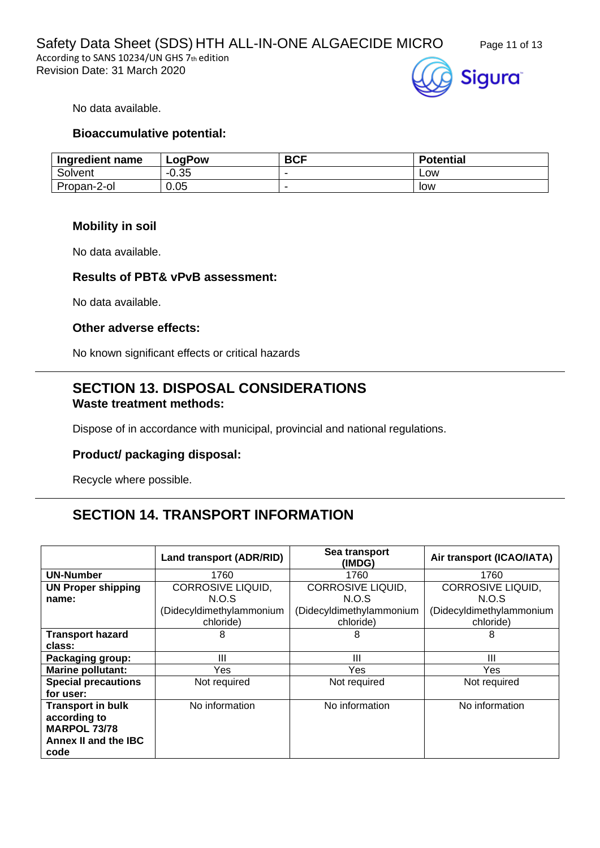

No data available.

### **Bioaccumulative potential:**

| Ingredient name | LogPow  | <b>BCF</b> | <b>Potential</b> |
|-----------------|---------|------------|------------------|
| Solvent         | $-0.35$ |            | <b>LOW</b>       |
| Propan-2-ol     | 0.05    | -          | low              |

### **Mobility in soil**

No data available.

### **Results of PBT& vPvB assessment:**

No data available.

### **Other adverse effects:**

No known significant effects or critical hazards

# **SECTION 13. DISPOSAL CONSIDERATIONS Waste treatment methods:**

Dispose of in accordance with municipal, provincial and national regulations.

## **Product/ packaging disposal:**

Recycle where possible.

# **SECTION 14. TRANSPORT INFORMATION**

|                            | Land transport (ADR/RID) | Sea transport<br>(IMDG)  | Air transport (ICAO/IATA) |
|----------------------------|--------------------------|--------------------------|---------------------------|
| <b>UN-Number</b>           | 1760                     | 1760                     | 1760                      |
| <b>UN Proper shipping</b>  | <b>CORROSIVE LIQUID,</b> | <b>CORROSIVE LIQUID,</b> | <b>CORROSIVE LIQUID,</b>  |
| name:                      | N.O.S                    | N.O.S                    | N.O.S                     |
|                            | (Didecyldimethylammonium | (Didecyldimethylammonium | (Didecyldimethylammonium  |
|                            | chloride)                | chloride)                | chloride)                 |
| <b>Transport hazard</b>    | 8                        | 8                        | 8                         |
| class:                     |                          |                          |                           |
| Packaging group:           | Ш                        | Ш                        | $\mathbf{III}$            |
| <b>Marine pollutant:</b>   | Yes                      | Yes                      | Yes                       |
| <b>Special precautions</b> | Not required             | Not required             | Not required              |
| for user:                  |                          |                          |                           |
| <b>Transport in bulk</b>   | No information           | No information           | No information            |
| according to               |                          |                          |                           |
| <b>MARPOL 73/78</b>        |                          |                          |                           |
| Annex II and the IBC       |                          |                          |                           |
| code                       |                          |                          |                           |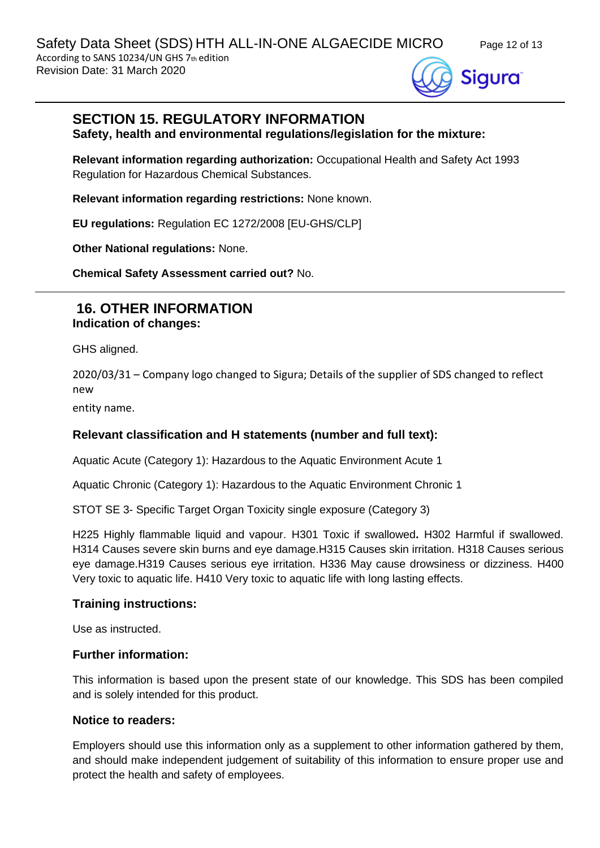

# **SECTION 15. REGULATORY INFORMATION**

**Safety, health and environmental regulations/legislation for the mixture:**

**Relevant information regarding authorization:** Occupational Health and Safety Act 1993 Regulation for Hazardous Chemical Substances.

**Relevant information regarding restrictions:** None known.

**EU regulations:** Regulation EC 1272/2008 [EU-GHS/CLP]

**Other National regulations:** None.

**Chemical Safety Assessment carried out?** No.

## **16. OTHER INFORMATION Indication of changes:**

GHS aligned.

2020/03/31 – Company logo changed to Sigura; Details of the supplier of SDS changed to reflect new

entity name.

### **Relevant classification and H statements (number and full text):**

Aquatic Acute (Category 1): Hazardous to the Aquatic Environment Acute 1

Aquatic Chronic (Category 1): Hazardous to the Aquatic Environment Chronic 1

STOT SE 3- Specific Target Organ Toxicity single exposure (Category 3)

H225 Highly flammable liquid and vapour. H301 Toxic if swallowed**.** H302 Harmful if swallowed. H314 Causes severe skin burns and eye damage.H315 Causes skin irritation. H318 Causes serious eye damage.H319 Causes serious eye irritation. H336 May cause drowsiness or dizziness. H400 Very toxic to aquatic life. H410 Very toxic to aquatic life with long lasting effects.

#### **Training instructions:**

Use as instructed.

#### **Further information:**

This information is based upon the present state of our knowledge. This SDS has been compiled and is solely intended for this product.

#### **Notice to readers:**

Employers should use this information only as a supplement to other information gathered by them, and should make independent judgement of suitability of this information to ensure proper use and protect the health and safety of employees.